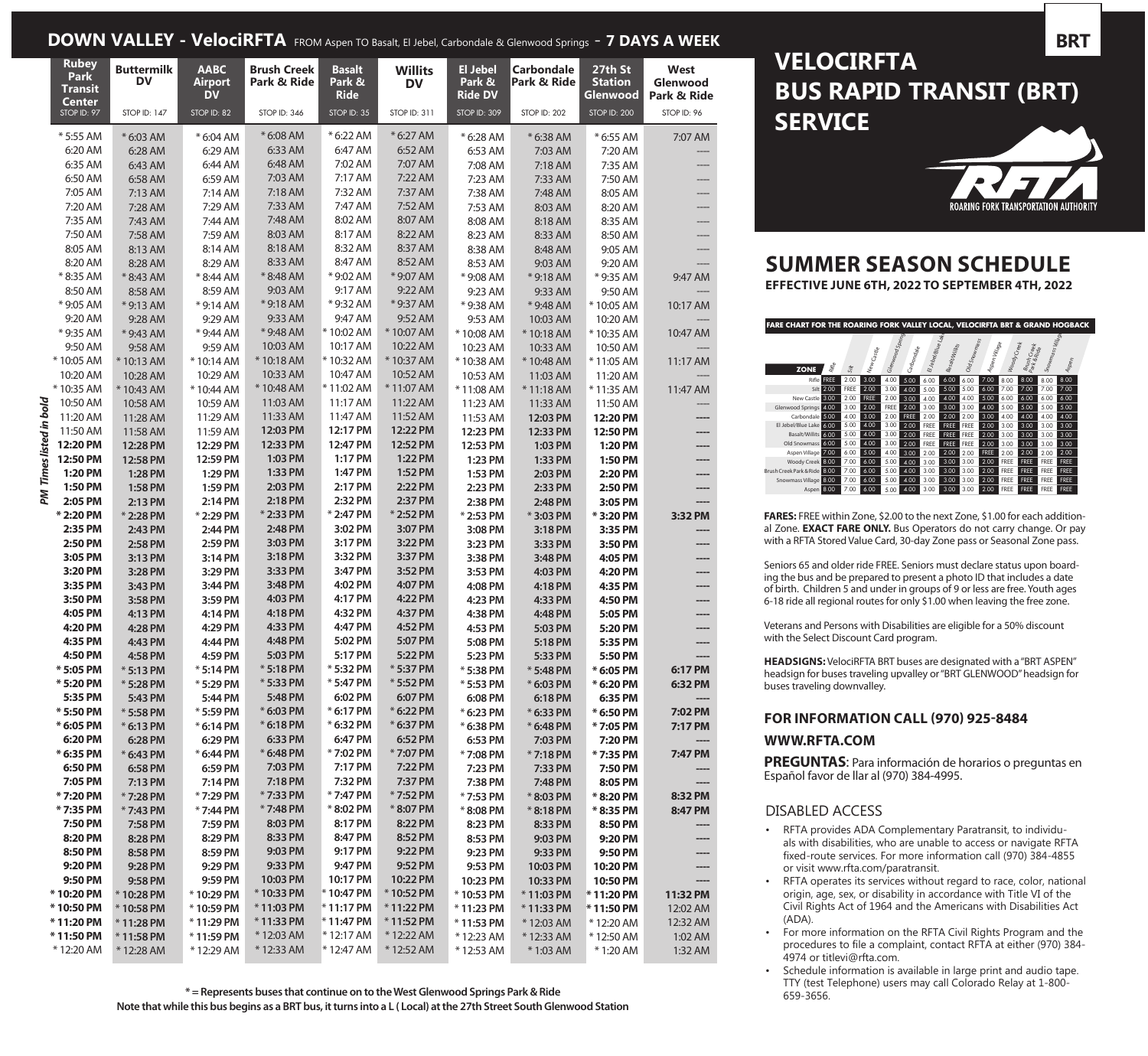### **DOWN VALLEY - VelociRFTA** FROM Aspen TO Basalt, El Jebel, Carbondale & Glenwood Springs - **7 DAYS A WEEK**

| <b>Rubey</b><br><b>Park</b><br><b>Transit</b><br><b>Center</b> | <b>Buttermilk</b><br><b>DV</b> | <b>AABC</b><br><b>Airport</b><br><b>DV</b> | <b>Brush Creek</b><br>Park & Ride | <b>Basalt</b><br>Park &<br><b>Ride</b> | <b>Willits</b><br><b>DV</b> | <b>El Jebel</b><br>Park &<br><b>Ride DV</b> | <b>Carbondale</b><br>Park & Ride | 27th St<br><b>Station</b><br>Glenwood | West<br>Glenwood<br>Park & Ride |
|----------------------------------------------------------------|--------------------------------|--------------------------------------------|-----------------------------------|----------------------------------------|-----------------------------|---------------------------------------------|----------------------------------|---------------------------------------|---------------------------------|
| STOP ID: 97                                                    | <b>STOP ID: 147</b>            | STOP ID: 82                                | STOP ID: 346                      | STOP ID: 35                            | STOP ID: 311                | <b>STOP ID: 309</b>                         | STOP ID: 202                     | <b>STOP ID: 200</b>                   | STOP ID: 96                     |
| * 5:55 AM                                                      | * 6:03 AM                      | * 6:04 AM                                  | * 6:08 AM                         | * 6:22 AM                              | * 6:27 AM                   | * 6:28 AM                                   | * 6:38 AM                        | * 6:55 AM                             | 7:07 AM                         |
| 6:20 AM                                                        | 6:28 AM                        | 6:29 AM                                    | 6:33 AM                           | 6:47 AM                                | 6:52 AM                     | 6:53 AM                                     | 7:03 AM                          | 7:20 AM                               |                                 |
| 6:35 AM                                                        | 6:43 AM                        | 6:44 AM                                    | 6:48 AM                           | 7:02 AM                                | 7:07 AM                     | 7:08 AM                                     | 7:18 AM                          | 7:35 AM                               |                                 |
| 6:50 AM                                                        | 6:58 AM                        | 6:59 AM                                    | 7:03 AM                           | 7:17 AM                                | 7:22 AM                     | 7:23 AM                                     | 7:33 AM                          | 7:50 AM                               |                                 |
| 7:05 AM                                                        | 7:13 AM                        | 7:14 AM                                    | 7:18 AM                           | 7:32 AM                                | 7:37 AM                     | 7:38 AM                                     | 7:48 AM                          | 8:05 AM                               |                                 |
| 7:20 AM                                                        | 7:28 AM                        | 7:29 AM                                    | 7:33 AM                           | 7:47 AM                                | 7:52 AM                     | 7:53 AM                                     | 8:03 AM                          | 8:20 AM                               |                                 |
| 7:35 AM                                                        | 7:43 AM                        | 7:44 AM                                    | 7:48 AM                           | 8:02 AM                                | 8:07 AM                     | 8:08 AM                                     | 8:18 AM                          | 8:35 AM                               |                                 |
| 7:50 AM                                                        | 7:58 AM                        | 7:59 AM                                    | 8:03 AM                           | 8:17 AM                                | 8:22 AM                     | 8:23 AM                                     | 8:33 AM                          | 8:50 AM                               |                                 |
| 8:05 AM                                                        | 8:13 AM                        | 8:14 AM                                    | 8:18 AM                           | 8:32 AM                                | 8:37 AM                     | 8:38 AM                                     | 8:48 AM                          | 9:05 AM                               |                                 |
| 8:20 AM                                                        | 8:28 AM                        | 8:29 AM                                    | 8:33 AM                           | 8:47 AM                                | 8:52 AM                     | 8:53 AM                                     | 9:03 AM                          | 9:20 AM                               |                                 |
| *8:35 AM                                                       | *8:43 AM                       | *8:44 AM                                   | *8:48 AM<br>9:03 AM               | *9:02 AM                               | *9:07 AM<br>9:22 AM         | * 9:08 AM                                   | *9:18 AM                         | * 9:35 AM                             | 9:47 AM                         |
| 8:50 AM<br>* 9:05 AM                                           | 8:58 AM                        | 8:59 AM                                    | *9:18 AM                          | 9:17 AM<br>* 9:32 AM                   | *9:37 AM                    | 9:23 AM                                     | 9:33 AM                          | 9:50 AM                               |                                 |
| 9:20 AM                                                        | *9:13 AM                       | *9:14 AM<br>9:29 AM                        | 9:33 AM                           | 9:47 AM                                | 9:52 AM                     | *9:38 AM                                    | * 9:48 AM                        | *10:05 AM                             | 10:17 AM                        |
| * 9:35 AM                                                      | 9:28 AM                        | * 9:44 AM                                  | * 9:48 AM                         | *10:02 AM                              | *10:07 AM                   | 9:53 AM<br>*10:08 AM                        | 10:03 AM                         | 10:20 AM                              | 10:47 AM                        |
| 9:50 AM                                                        | *9:43 AM<br>9:58 AM            | 9:59 AM                                    | 10:03 AM                          | 10:17 AM                               | 10:22 AM                    | 10:23 AM                                    | *10:18 AM<br>10:33 AM            | *10:35 AM<br>10:50 AM                 |                                 |
| *10:05 AM                                                      | * 10:13 AM                     | *10:14 AM                                  | *10:18 AM                         | *10:32 AM                              | *10:37 AM                   | *10:38 AM                                   | * 10:48 AM                       | *11:05 AM                             | 11:17 AM                        |
| 10:20 AM                                                       | 10:28 AM                       | 10:29 AM                                   | 10:33 AM                          | 10:47 AM                               | 10:52 AM                    | 10:53 AM                                    | 11:03 AM                         | 11:20 AM                              |                                 |
| *10:35 AM                                                      | *10:43 AM                      | *10:44 AM                                  | * 10:48 AM                        | *11:02 AM                              | *11:07 AM                   | *11:08 AM                                   | *11:18 AM                        | *11:35 AM                             | 11:47 AM                        |
| 10:50 AM                                                       | 10:58 AM                       | 10:59 AM                                   | 11:03 AM                          | 11:17 AM                               | 11:22 AM                    | 11:23 AM                                    | 11:33 AM                         | 11:50 AM                              |                                 |
| 11:20 AM                                                       | 11:28 AM                       | 11:29 AM                                   | 11:33 AM                          | 11:47 AM                               | 11:52 AM                    | 11:53 AM                                    | 12:03 PM                         | 12:20 PM                              |                                 |
| 11:50 AM                                                       | 11:58 AM                       | 11:59 AM                                   | 12:03 PM                          | 12:17 PM                               | 12:22 PM                    | 12:23 PM                                    | 12:33 PM                         | 12:50 PM                              |                                 |
| PM Times listed in bold<br>12:20 PM                            | 12:28 PM                       | 12:29 PM                                   | 12:33 PM                          | 12:47 PM                               | 12:52 PM                    | 12:53 PM                                    | 1:03 PM                          | 1:20 PM                               |                                 |
| 12:50 PM                                                       | 12:58 PM                       | 12:59 PM                                   | 1:03 PM                           | 1:17 PM                                | 1:22 PM                     | 1:23 PM                                     | 1:33 PM                          | 1:50 PM                               |                                 |
| 1:20 PM                                                        | 1:28 PM                        | 1:29 PM                                    | 1:33 PM                           | 1:47 PM                                | 1:52 PM                     | 1:53 PM                                     | 2:03 PM                          | 2:20 PM                               |                                 |
| 1:50 PM                                                        | 1:58 PM                        | 1:59 PM                                    | 2:03 PM                           | 2:17 PM                                | 2:22 PM                     | 2:23 PM                                     | 2:33 PM                          | 2:50 PM                               |                                 |
| 2:05 PM                                                        | 2:13 PM                        | 2:14 PM                                    | 2:18 PM                           | 2:32 PM                                | 2:37 PM                     | 2:38 PM                                     | 2:48 PM                          | 3:05 PM                               |                                 |
| * 2:20 PM                                                      | *2:28 PM                       | * 2:29 PM                                  | * 2:33 PM                         | * 2:47 PM                              | * 2:52 PM                   | *2:53 PM                                    | *3:03 PM                         | *3:20 PM                              | 3:32 PM                         |
| 2:35 PM                                                        | 2:43 PM                        | 2:44 PM                                    | 2:48 PM                           | 3:02 PM                                | 3:07 PM                     | 3:08 PM                                     | 3:18 PM                          | 3:35 PM                               |                                 |
| 2:50 PM                                                        | 2:58 PM                        | 2:59 PM                                    | 3:03 PM                           | 3:17 PM                                | 3:22 PM                     | 3:23 PM                                     | 3:33 PM                          | 3:50 PM                               |                                 |
| 3:05 PM                                                        | 3:13 PM                        | 3:14 PM                                    | 3:18 PM                           | 3:32 PM                                | 3:37 PM                     | 3:38 PM                                     | 3:48 PM                          | 4:05 PM                               |                                 |
| 3:20 PM                                                        | 3:28 PM                        | 3:29 PM                                    | 3:33 PM<br>3:48 PM                | 3:47 PM<br>4:02 PM                     | 3:52 PM<br>4:07 PM          | 3:53 PM                                     | 4:03 PM                          | 4:20 PM                               |                                 |
| 3:35 PM<br>3:50 PM                                             | 3:43 PM                        | 3:44 PM<br>3:59 PM                         | 4:03 PM                           | 4:17 PM                                | 4:22 PM                     | 4:08 PM                                     | 4:18 PM<br>4:33 PM               | 4:35 PM                               |                                 |
| 4:05 PM                                                        | 3:58 PM<br>4:13 PM             | 4:14 PM                                    | 4:18 PM                           | 4:32 PM                                | 4:37 PM                     | 4:23 PM<br>4:38 PM                          | 4:48 PM                          | 4:50 PM<br>5:05 PM                    | ----                            |
| 4:20 PM                                                        | 4:28 PM                        | 4:29 PM                                    | 4:33 PM                           | 4:47 PM                                | 4:52 PM                     | 4:53 PM                                     | 5:03 PM                          | 5:20 PM                               |                                 |
| 4:35 PM                                                        | 4:43 PM                        | 4:44 PM                                    | 4:48 PM                           | 5:02 PM                                | 5:07 PM                     | 5:08 PM                                     | 5:18 PM                          | 5:35 PM                               |                                 |
| 4:50 PM                                                        | 4:58 PM                        | 4:59 PM                                    | 5:03 PM                           | 5:17 PM                                | 5:22 PM                     | 5:23 PM                                     | 5:33 PM                          | 5:50 PM                               | ----                            |
| * 5:05 PM                                                      | $*5:13$ PM                     | $*5:14$ PM                                 | $*5:18$ PM                        | * 5:32 PM                              | * 5:37 PM                   | * 5:38 PM                                   | * 5:48 PM                        | * 6:05 PM                             | 6:17 PM                         |
| * 5:20 PM                                                      | *5:28 PM                       | * 5:29 PM                                  | $*$ 5:33 PM                       | * 5:47 PM                              | $*$ 5:52 PM                 | * 5:53 PM                                   | * 6:03 PM                        | * 6:20 PM                             | 6:32 PM                         |
| 5:35 PM                                                        | 5:43 PM                        | 5:44 PM                                    | 5:48 PM                           | 6:02 PM                                | 6:07 PM                     | 6:08 PM                                     | 6:18 PM                          | 6:35 PM                               |                                 |
| * 5:50 PM                                                      | * 5:58 PM                      | * 5:59 PM                                  | * 6:03 PM                         | * 6:17 PM                              | * 6:22 PM                   | * 6:23 PM                                   | * 6:33 PM                        | * 6:50 PM                             | 7:02 PM                         |
| * 6:05 PM                                                      | * 6:13 PM                      | $*6:14$ PM                                 | * 6:18 PM                         | * 6:32 PM                              | * 6:37 PM                   | $*$ 6:38 PM                                 | * 6:48 PM                        | * 7:05 PM                             | 7:17 PM                         |
| 6:20 PM                                                        | 6:28 PM                        | 6:29 PM                                    | 6:33 PM                           | 6:47 PM                                | 6:52 PM                     | 6:53 PM                                     | 7:03 PM                          | 7:20 PM                               |                                 |
| * 6:35 PM                                                      | * 6:43 PM                      | * 6:44 PM                                  | * 6:48 PM                         | *7:02 PM                               | *7:07 PM                    | *7:08 PM                                    | *7:18 PM                         | *7:35 PM                              | 7:47 PM                         |
| 6:50 PM                                                        | 6:58 PM                        | 6:59 PM                                    | 7:03 PM                           | 7:17 PM                                | 7:22 PM                     | 7:23 PM                                     | 7:33 PM                          | 7:50 PM                               |                                 |
| 7:05 PM                                                        | 7:13 PM                        | 7:14 PM                                    | 7:18 PM                           | 7:32 PM                                | 7:37 PM                     | 7:38 PM                                     | 7:48 PM                          | 8:05 PM                               |                                 |
| *7:20 PM                                                       | *7:28 PM                       | *7:29 PM                                   | * 7:33 PM                         | * 7:47 PM                              | *7:52 PM                    | *7:53 PM                                    | *8:03 PM                         | *8:20 PM                              | 8:32 PM                         |
| *7:35 PM                                                       | *7:43 PM                       | *7:44 PM                                   | *7:48 PM                          | *8:02 PM                               | *8:07 PM                    | *8:08 PM                                    | *8:18 PM                         | *8:35 PM                              | 8:47 PM                         |
| 7:50 PM                                                        | 7:58 PM                        | 7:59 PM                                    | 8:03 PM<br>8:33 PM                | 8:17 PM<br>8:47 PM                     | 8:22 PM<br>8:52 PM          | 8:23 PM                                     | 8:33 PM                          | 8:50 PM                               |                                 |
| 8:20 PM<br>8:50 PM                                             | 8:28 PM<br>8:58 PM             | 8:29 PM<br>8:59 PM                         | 9:03 PM                           | 9:17 PM                                | 9:22 PM                     | 8:53 PM<br>9:23 PM                          | 9:03 PM<br>9:33 PM               | 9:20 PM<br>9:50 PM                    |                                 |
| 9:20 PM                                                        | 9:28 PM                        | 9:29 PM                                    | 9:33 PM                           | 9:47 PM                                | 9:52 PM                     | 9:53 PM                                     | 10:03 PM                         | 10:20 PM                              | ----                            |
| 9:50 PM                                                        | 9:58 PM                        | 9:59 PM                                    | 10:03 PM                          | 10:17 PM                               | 10:22 PM                    | 10:23 PM                                    | 10:33 PM                         | 10:50 PM                              |                                 |
| *10:20 PM                                                      | *10:28 PM                      | *10:29 PM                                  | *10:33 PM                         | *10:47 PM                              | *10:52 PM                   | *10:53 PM                                   | *11:03 PM                        | *11:20 PM                             | 11:32 PM                        |
| *10:50 PM                                                      | *10:58 PM                      | *10:59 PM                                  | *11:03 PM                         | $*$ 11:17 PM                           | *11:22 PM                   | $*$ 11:23 PM                                | $*$ 11:33 PM                     | *11:50 PM                             | 12:02 AM                        |
| *11:20 PM                                                      | $*11:28$ PM                    | $*$ 11:29 PM                               | $*$ 11:33 PM                      | *11:47 PM                              | *11:52 PM                   | *11:53 PM                                   | *12:03 AM                        | *12:20 AM                             | 12:32 AM                        |
| *11:50 PM                                                      | $*11:58$ PM                    | $*$ 11:59 PM                               | *12:03 AM                         | *12:17 AM                              | *12:22 AM                   | *12:23 AM                                   | * 12:33 AM                       | *12:50 AM                             | 1:02 AM                         |
| * 12:20 AM                                                     | *12:28 AM                      | *12:29 AM                                  | *12:33 AM                         | * 12:47 AM                             | *12:52 AM                   | *12:53 AM                                   | * 1:03 AM                        | * 1:20 AM                             | 1:32 AM                         |

# **VELOCIRFTA BUS RAPID TRANSIT (BRT) SERVICE**



# **SUMMER SEASON SCHEDULE**

**EFFECTIVE JUNE 6TH, 2022 TO SEPTEMBER 4TH, 2022**



**FARES:** FREE within Zone, \$2.00 to the next Zone, \$1.00 for each additional Zone. **EXACT FARE ONLY.** Bus Operators do not carry change. Or pay with a RFTA Stored Value Card, 30-day Zone pass or Seasonal Zone pass.

Seniors 65 and older ride FREE. Seniors must declare status upon boarding the bus and be prepared to present a photo ID that includes a date of birth. Children 5 and under in groups of 9 or less are free. Youth ages 6-18 ride all regional routes for only \$1.00 when leaving the free zone.

Veterans and Persons with Disabilities are eligible for a 50% discount with the Select Discount Card program.

**HEADSIGNS:** VelociRFTA BRT buses are designated with a "BRT ASPEN" headsign for buses traveling upvalley or "BRT GLENWOOD" headsign for buses traveling downvalley.

#### **FOR INFORMATION CALL (970) 925-8484**

#### **WWW.RFTA.COM**

**PREGUNTAS**: Para información de horarios o preguntas en Español favor de llar al (970) 384-4995.

#### DISABLED ACCESS

- RFTA provides ADA Complementary Paratransit, to individuals with disabilities, who are unable to access or navigate RFTA fixed-route services. For more information call (970) 384-4855 or visit www.rfta.com/paratransit.
- RFTA operates its services without regard to race, color, national origin, age, sex, or disability in accordance with Title VI of the Civil Rights Act of 1964 and the Americans with Disabilities Act (ADA).
- For more information on the RFTA Civil Rights Program and the procedures to file a complaint, contact RFTA at either (970) 384- 4974 or titlevi@rfta.com.
- Schedule information is available in large print and audio tape. TTY (test Telephone) users may call Colorado Relay at 1-800- 659-3656.